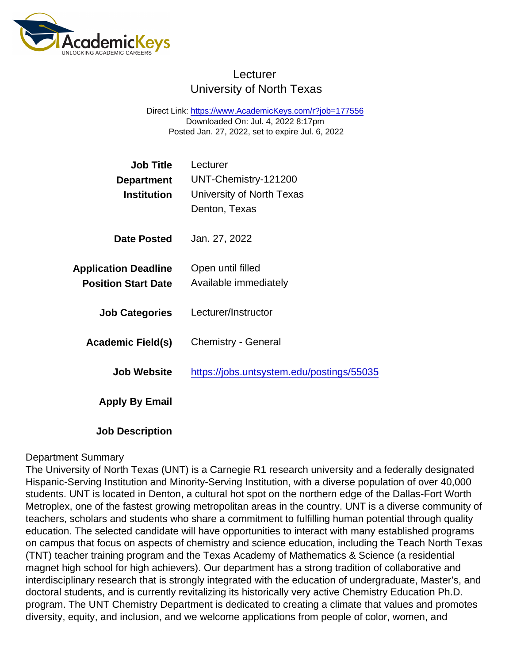## **Lecturer** University of North Texas

Direct Link: <https://www.AcademicKeys.com/r?job=177556> Downloaded On: Jul. 4, 2022 8:17pm Posted Jan. 27, 2022, set to expire Jul. 6, 2022

| Job Title                   | Lecturer                                  |
|-----------------------------|-------------------------------------------|
| Department                  | UNT-Chemistry-121200                      |
| Institution                 | University of North Texas                 |
|                             | Denton, Texas                             |
| Date Posted                 | Jan. 27, 2022                             |
| <b>Application Deadline</b> | Open until filled                         |
| <b>Position Start Date</b>  | Available immediately                     |
| <b>Job Categories</b>       | Lecturer/Instructor                       |
| Academic Field(s)           | <b>Chemistry - General</b>                |
| Job Website                 | https://jobs.untsystem.edu/postings/55035 |
| Apply By Email              |                                           |

Job Description

### Department Summary

The University of North Texas (UNT) is a Carnegie R1 research university and a federally designated Hispanic-Serving Institution and Minority-Serving Institution, with a diverse population of over 40,000 students. UNT is located in Denton, a cultural hot spot on the northern edge of the Dallas-Fort Worth Metroplex, one of the fastest growing metropolitan areas in the country. UNT is a diverse community of teachers, scholars and students who share a commitment to fulfilling human potential through quality education. The selected candidate will have opportunities to interact with many established programs on campus that focus on aspects of chemistry and science education, including the Teach North Texas (TNT) teacher training program and the Texas Academy of Mathematics & Science (a residential magnet high school for high achievers). Our department has a strong tradition of collaborative and interdisciplinary research that is strongly integrated with the education of undergraduate, Master's, and doctoral students, and is currently revitalizing its historically very active Chemistry Education Ph.D. program. The UNT Chemistry Department is dedicated to creating a climate that values and promotes diversity, equity, and inclusion, and we welcome applications from people of color, women, and